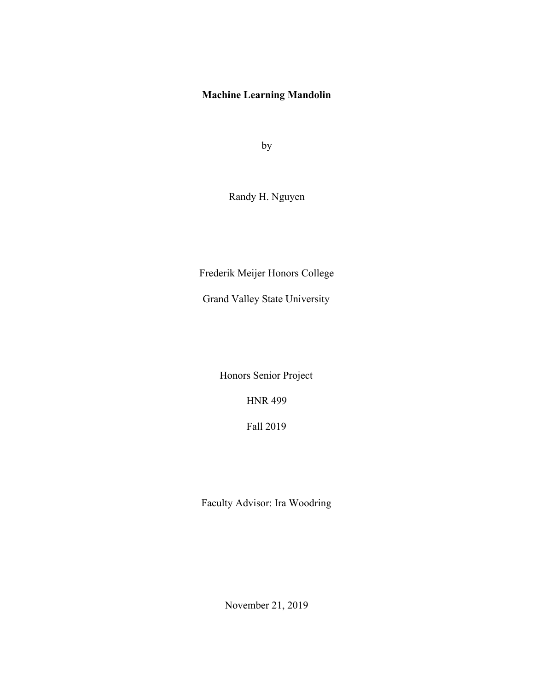# **Machine Learning Mandolin**

by

Randy H. Nguyen

Frederik Meijer Honors College

Grand Valley State University

Honors Senior Project

HNR 499

Fall 2019

Faculty Advisor: Ira Woodring

November 21, 2019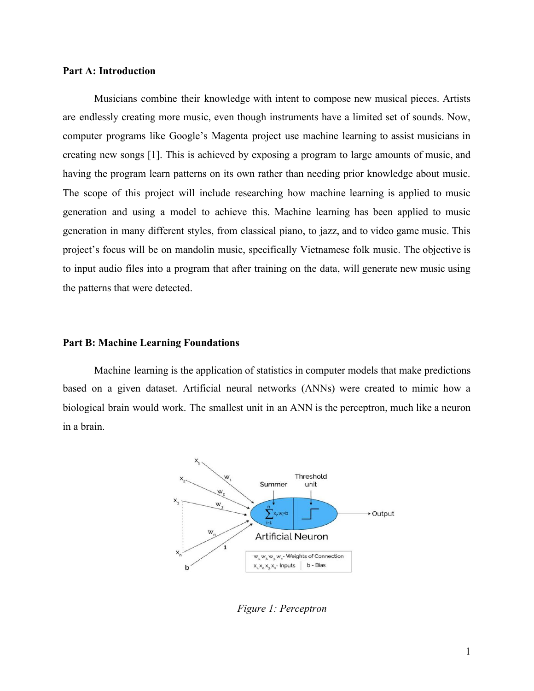## **Part A: Introduction**

Musicians combine their knowledge with intent to compose new musical pieces. Artists are endlessly creating more music, even though instruments have a limited set of sounds. Now, computer programs like Google's Magenta project use machine learning to assist musicians in creating new songs [1]. This is achieved by exposing a program to large amounts of music, and having the program learn patterns on its own rather than needing prior knowledge about music. The scope of this project will include researching how machine learning is applied to music generation and using a model to achieve this. Machine learning has been applied to music generation in many different styles, from classical piano, to jazz, and to video game music. This project's focus will be on mandolin music, specifically Vietnamese folk music. The objective is to input audio files into a program that after training on the data, will generate new music using the patterns that were detected.

# **Part B: Machine Learning Foundations**

Machine learning is the application of statistics in computer models that make predictions based on a given dataset. Artificial neural networks (ANNs) were created to mimic how a biological brain would work. The smallest unit in an ANN is the perceptron, much like a neuron in a brain.



*Figure 1: Perceptron*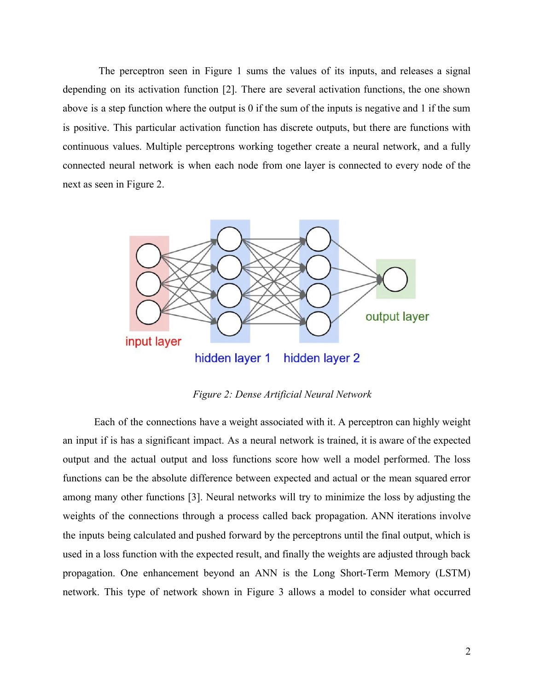The perceptron seen in Figure 1 sums the values of its inputs, and releases a signal depending on its activation function [2]. There are several activation functions, the one shown above is a step function where the output is 0 if the sum of the inputs is negative and 1 if the sum is positive. This particular activation function has discrete outputs, but there are functions with continuous values. Multiple perceptrons working together create a neural network, and a fully connected neural network is when each node from one layer is connected to every node of the next as seen in Figure 2.



*Figure 2: Dense Artificial Neural Network*

Each of the connections have a weight associated with it. A perceptron can highly weight an input if is has a significant impact. As a neural network is trained, it is aware of the expected output and the actual output and loss functions score how well a model performed. The loss functions can be the absolute difference between expected and actual or the mean squared error among many other functions [3]. Neural networks will try to minimize the loss by adjusting the weights of the connections through a process called back propagation. ANN iterations involve the inputs being calculated and pushed forward by the perceptrons until the final output, which is used in a loss function with the expected result, and finally the weights are adjusted through back propagation. One enhancement beyond an ANN is the Long Short-Term Memory (LSTM) network. This type of network shown in Figure 3 allows a model to consider what occurred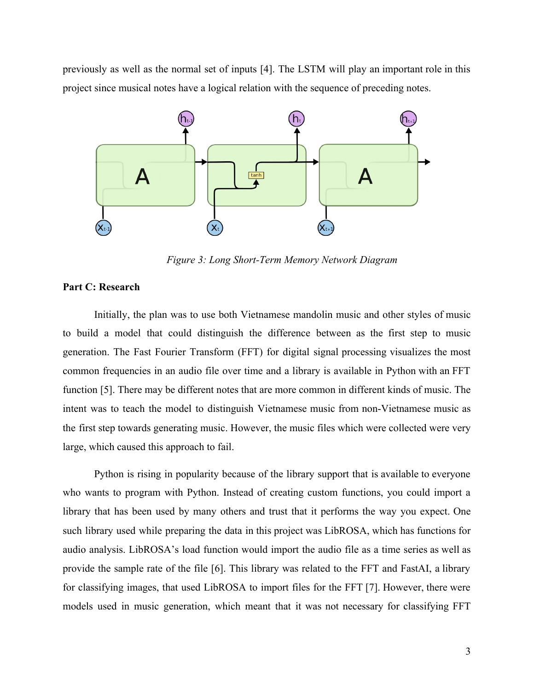previously as well as the normal set of inputs [4]. The LSTM will play an important role in this project since musical notes have a logical relation with the sequence of preceding notes.



*Figure 3: Long Short-Term Memory Network Diagram*

# **Part C: Research**

Initially, the plan was to use both Vietnamese mandolin music and other styles of music to build a model that could distinguish the difference between as the first step to music generation. The Fast Fourier Transform (FFT) for digital signal processing visualizes the most common frequencies in an audio file over time and a library is available in Python with an FFT function [5]. There may be different notes that are more common in different kinds of music. The intent was to teach the model to distinguish Vietnamese music from non-Vietnamese music as the first step towards generating music. However, the music files which were collected were very large, which caused this approach to fail.

Python is rising in popularity because of the library support that is available to everyone who wants to program with Python. Instead of creating custom functions, you could import a library that has been used by many others and trust that it performs the way you expect. One such library used while preparing the data in this project was LibROSA, which has functions for audio analysis. LibROSA's load function would import the audio file as a time series as well as provide the sample rate of the file [6]. This library was related to the FFT and FastAI, a library for classifying images, that used LibROSA to import files for the FFT [7]. However, there were models used in music generation, which meant that it was not necessary for classifying FFT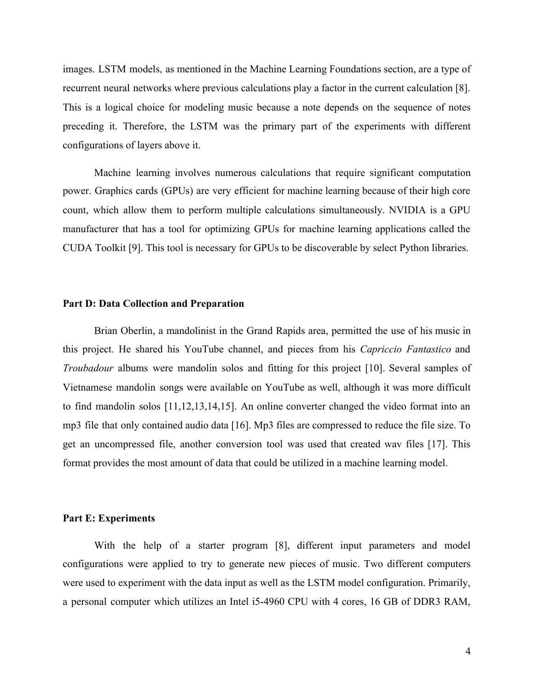images. LSTM models, as mentioned in the Machine Learning Foundations section, are a type of recurrent neural networks where previous calculations play a factor in the current calculation [8]. This is a logical choice for modeling music because a note depends on the sequence of notes preceding it. Therefore, the LSTM was the primary part of the experiments with different configurations of layers above it.

Machine learning involves numerous calculations that require significant computation power. Graphics cards (GPUs) are very efficient for machine learning because of their high core count, which allow them to perform multiple calculations simultaneously. NVIDIA is a GPU manufacturer that has a tool for optimizing GPUs for machine learning applications called the CUDA Toolkit [9]. This tool is necessary for GPUs to be discoverable by select Python libraries.

#### **Part D: Data Collection and Preparation**

Brian Oberlin, a mandolinist in the Grand Rapids area, permitted the use of his music in this project. He shared his YouTube channel, and pieces from his *Capriccio Fantastico* and *Troubadour* albums were mandolin solos and fitting for this project [10]. Several samples of Vietnamese mandolin songs were available on YouTube as well, although it was more difficult to find mandolin solos [11,12,13,14,15]. An online converter changed the video format into an mp3 file that only contained audio data [16]. Mp3 files are compressed to reduce the file size. To get an uncompressed file, another conversion tool was used that created wav files [17]. This format provides the most amount of data that could be utilized in a machine learning model.

#### **Part E: Experiments**

With the help of a starter program [8], different input parameters and model configurations were applied to try to generate new pieces of music. Two different computers were used to experiment with the data input as well as the LSTM model configuration. Primarily, a personal computer which utilizes an Intel i5-4960 CPU with 4 cores, 16 GB of DDR3 RAM,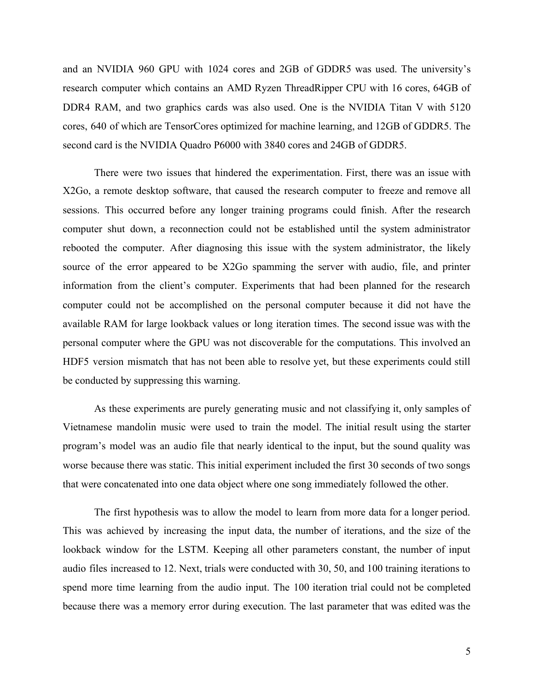and an NVIDIA 960 GPU with 1024 cores and 2GB of GDDR5 was used. The university's research computer which contains an AMD Ryzen ThreadRipper CPU with 16 cores, 64GB of DDR4 RAM, and two graphics cards was also used. One is the NVIDIA Titan V with 5120 cores, 640 of which are TensorCores optimized for machine learning, and 12GB of GDDR5. The second card is the NVIDIA Quadro P6000 with 3840 cores and 24GB of GDDR5.

There were two issues that hindered the experimentation. First, there was an issue with X2Go, a remote desktop software, that caused the research computer to freeze and remove all sessions. This occurred before any longer training programs could finish. After the research computer shut down, a reconnection could not be established until the system administrator rebooted the computer. After diagnosing this issue with the system administrator, the likely source of the error appeared to be X2Go spamming the server with audio, file, and printer information from the client's computer. Experiments that had been planned for the research computer could not be accomplished on the personal computer because it did not have the available RAM for large lookback values or long iteration times. The second issue was with the personal computer where the GPU was not discoverable for the computations. This involved an HDF5 version mismatch that has not been able to resolve yet, but these experiments could still be conducted by suppressing this warning.

As these experiments are purely generating music and not classifying it, only samples of Vietnamese mandolin music were used to train the model. The initial result using the starter program's model was an audio file that nearly identical to the input, but the sound quality was worse because there was static. This initial experiment included the first 30 seconds of two songs that were concatenated into one data object where one song immediately followed the other.

The first hypothesis was to allow the model to learn from more data for a longer period. This was achieved by increasing the input data, the number of iterations, and the size of the lookback window for the LSTM. Keeping all other parameters constant, the number of input audio files increased to 12. Next, trials were conducted with 30, 50, and 100 training iterations to spend more time learning from the audio input. The 100 iteration trial could not be completed because there was a memory error during execution. The last parameter that was edited was the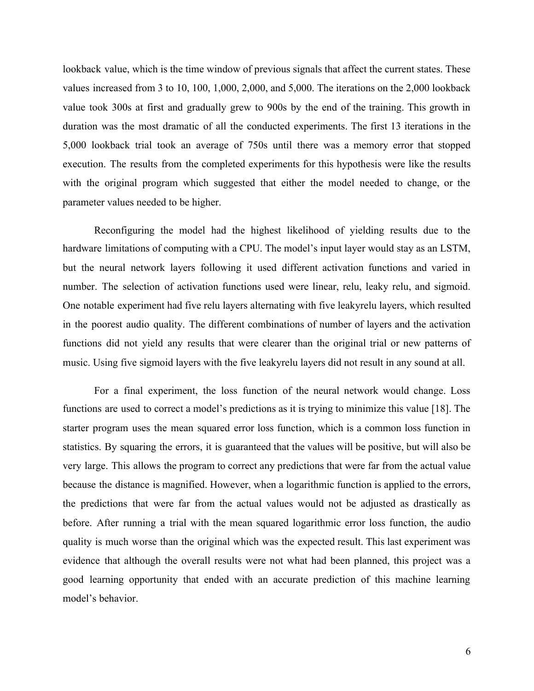lookback value, which is the time window of previous signals that affect the current states. These values increased from 3 to 10, 100, 1,000, 2,000, and 5,000. The iterations on the 2,000 lookback value took 300s at first and gradually grew to 900s by the end of the training. This growth in duration was the most dramatic of all the conducted experiments. The first 13 iterations in the 5,000 lookback trial took an average of 750s until there was a memory error that stopped execution. The results from the completed experiments for this hypothesis were like the results with the original program which suggested that either the model needed to change, or the parameter values needed to be higher.

Reconfiguring the model had the highest likelihood of yielding results due to the hardware limitations of computing with a CPU. The model's input layer would stay as an LSTM, but the neural network layers following it used different activation functions and varied in number. The selection of activation functions used were linear, relu, leaky relu, and sigmoid. One notable experiment had five relu layers alternating with five leakyrelu layers, which resulted in the poorest audio quality. The different combinations of number of layers and the activation functions did not yield any results that were clearer than the original trial or new patterns of music. Using five sigmoid layers with the five leakyrelu layers did not result in any sound at all.

For a final experiment, the loss function of the neural network would change. Loss functions are used to correct a model's predictions as it is trying to minimize this value [18]. The starter program uses the mean squared error loss function, which is a common loss function in statistics. By squaring the errors, it is guaranteed that the values will be positive, but will also be very large. This allows the program to correct any predictions that were far from the actual value because the distance is magnified. However, when a logarithmic function is applied to the errors, the predictions that were far from the actual values would not be adjusted as drastically as before. After running a trial with the mean squared logarithmic error loss function, the audio quality is much worse than the original which was the expected result. This last experiment was evidence that although the overall results were not what had been planned, this project was a good learning opportunity that ended with an accurate prediction of this machine learning model's behavior.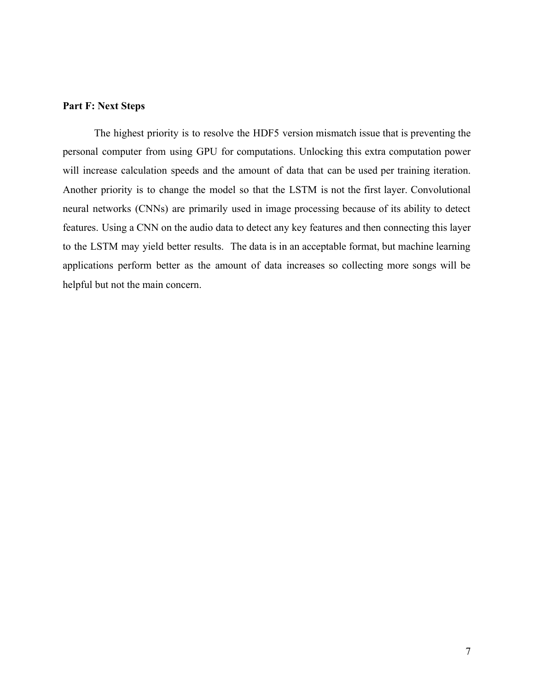# **Part F: Next Steps**

The highest priority is to resolve the HDF5 version mismatch issue that is preventing the personal computer from using GPU for computations. Unlocking this extra computation power will increase calculation speeds and the amount of data that can be used per training iteration. Another priority is to change the model so that the LSTM is not the first layer. Convolutional neural networks (CNNs) are primarily used in image processing because of its ability to detect features. Using a CNN on the audio data to detect any key features and then connecting this layer to the LSTM may yield better results. The data is in an acceptable format, but machine learning applications perform better as the amount of data increases so collecting more songs will be helpful but not the main concern.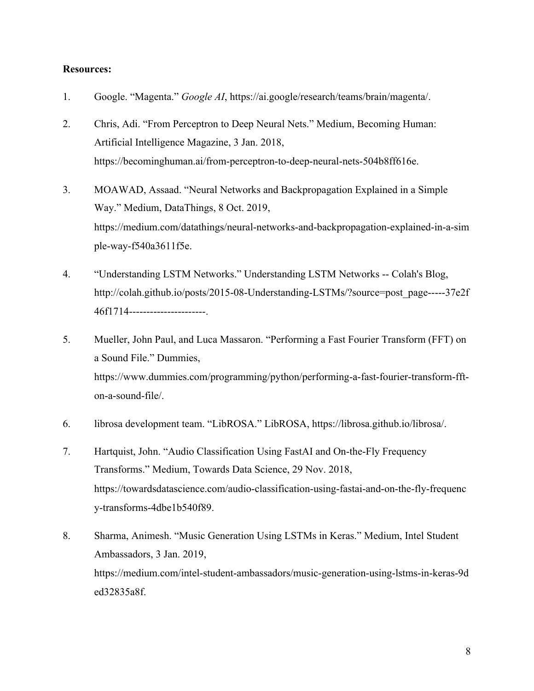# **Resources:**

- 1. Google. "Magenta." *Google AI*, https://ai.google/research/teams/brain/magenta/.
- 2. Chris, Adi. "From Perceptron to Deep Neural Nets." Medium, Becoming Human: Artificial Intelligence Magazine, 3 Jan. 2018, https://becominghuman.ai/from-perceptron-to-deep-neural-nets-504b8ff616e.
- 3. MOAWAD, Assaad. "Neural Networks and Backpropagation Explained in a Simple Way." Medium, DataThings, 8 Oct. 2019, https://medium.com/datathings/neural-networks-and-backpropagation-explained-in-a-sim ple-way-f540a3611f5e.
- 4. "Understanding LSTM Networks." Understanding LSTM Networks -- Colah's Blog, http://colah.github.io/posts/2015-08-Understanding-LSTMs/?source=post\_page-----37e2f 46f1714----------------------.
- 5. Mueller, John Paul, and Luca Massaron. "Performing a Fast Fourier Transform (FFT) on a Sound File." Dummies, https://www.dummies.com/programming/python/performing-a-fast-fourier-transform-ffton-a-sound-file/.
- 6. librosa development team. "LibROSA." LibROSA, https://librosa.github.io/librosa/.
- 7. Hartquist, John. "Audio Classification Using FastAI and On-the-Fly Frequency Transforms." Medium, Towards Data Science, 29 Nov. 2018, https://towardsdatascience.com/audio-classification-using-fastai-and-on-the-fly-frequenc y-transforms-4dbe1b540f89.
- 8. Sharma, Animesh. "Music Generation Using LSTMs in Keras." Medium, Intel Student Ambassadors, 3 Jan. 2019, https://medium.com/intel-student-ambassadors/music-generation-using-lstms-in-keras-9d ed32835a8f.